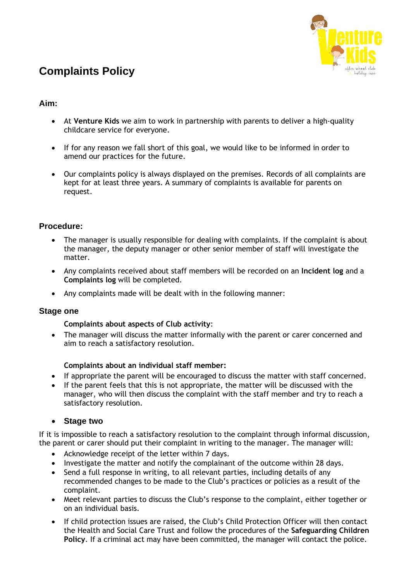# **Complaints Policy**



### **Aim:**

- At **Venture Kids** we aim to work in partnership with parents to deliver a high-quality childcare service for everyone.
- If for any reason we fall short of this goal, we would like to be informed in order to amend our practices for the future.
- Our complaints policy is always displayed on the premises. Records of all complaints are kept for at least three years. A summary of complaints is available for parents on request.

#### **Procedure:**

- The manager is usually responsible for dealing with complaints. If the complaint is about the manager, the deputy manager or other senior member of staff will investigate the matter.
- Any complaints received about staff members will be recorded on an **Incident log** and a **Complaints log** will be completed.
- Any complaints made will be dealt with in the following manner:

#### **Stage one**

#### **Complaints about aspects of Club activity**:

• The manager will discuss the matter informally with the parent or carer concerned and aim to reach a satisfactory resolution.

#### **Complaints about an individual staff member:**

- If appropriate the parent will be encouraged to discuss the matter with staff concerned.
- If the parent feels that this is not appropriate, the matter will be discussed with the manager, who will then discuss the complaint with the staff member and try to reach a satisfactory resolution.

#### • **Stage two**

If it is impossible to reach a satisfactory resolution to the complaint through informal discussion, the parent or carer should put their complaint in writing to the manager. The manager will:

- Acknowledge receipt of the letter within 7 days.
- Investigate the matter and notify the complainant of the outcome within 28 days.
- Send a full response in writing, to all relevant parties, including details of any recommended changes to be made to the Club's practices or policies as a result of the complaint.
- Meet relevant parties to discuss the Club's response to the complaint, either together or on an individual basis.
- If child protection issues are raised, the Club's Child Protection Officer will then contact the Health and Social Care Trust and follow the procedures of the **Safeguarding Children Policy**. If a criminal act may have been committed, the manager will contact the police.